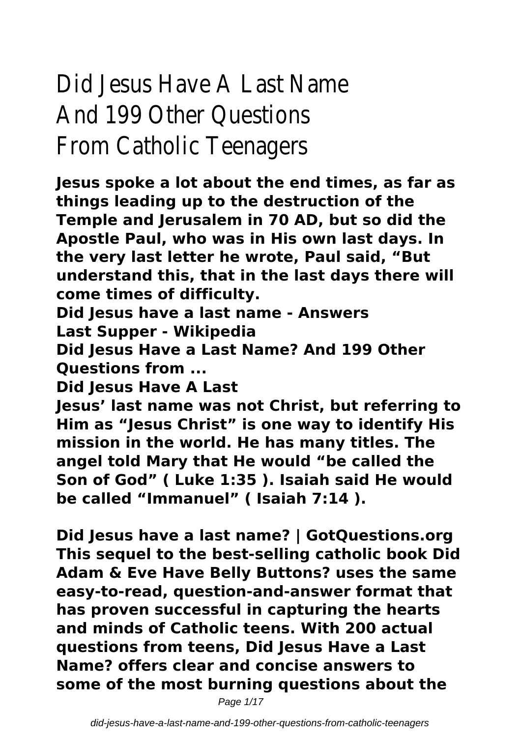# Did Jesus Have A Last Name And 199 Other Questions From Catholic Teenagers

**Jesus spoke a lot about the end times, as far as things leading up to the destruction of the Temple and Jerusalem in 70 AD, but so did the Apostle Paul, who was in His own last days. In the very last letter he wrote, Paul said, "But understand this, that in the last days there will come times of difficulty.**

**Did Jesus have a last name - Answers Last Supper - Wikipedia**

**Did Jesus Have a Last Name? And 199 Other Questions from ...**

**Did Jesus Have A Last**

**Jesus' last name was not Christ, but referring to Him as "Jesus Christ" is one way to identify His mission in the world. He has many titles. The angel told Mary that He would "be called the Son of God" ( Luke 1:35 ). Isaiah said He would be called "Immanuel" ( Isaiah 7:14 ).**

**Did Jesus have a last name? | GotQuestions.org This sequel to the best-selling catholic book Did Adam & Eve Have Belly Buttons? uses the same easy-to-read, question-and-answer format that has proven successful in capturing the hearts and minds of Catholic teens. With 200 actual questions from teens, Did Jesus Have a Last Name? offers clear and concise answers to some of the most burning questions about the**

Page 1/17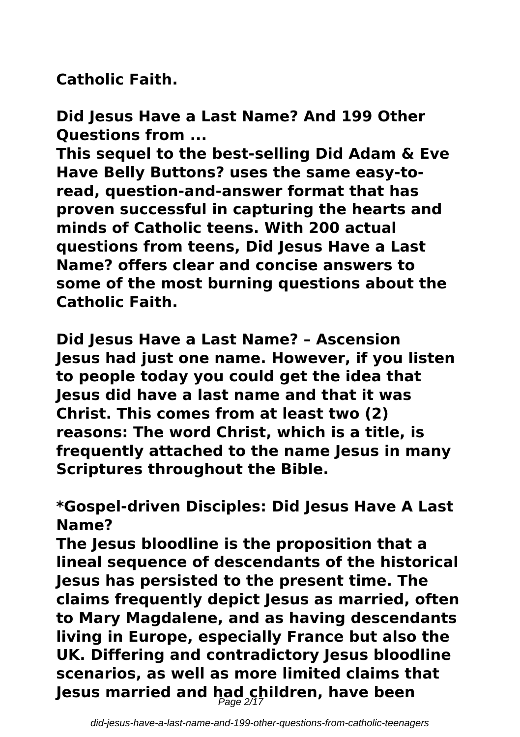**Catholic Faith.**

**Did Jesus Have a Last Name? And 199 Other Questions from ...**

**This sequel to the best-selling Did Adam & Eve Have Belly Buttons? uses the same easy-toread, question-and-answer format that has proven successful in capturing the hearts and minds of Catholic teens. With 200 actual questions from teens, Did Jesus Have a Last Name? offers clear and concise answers to some of the most burning questions about the Catholic Faith.**

**Did Jesus Have a Last Name? – Ascension Jesus had just one name. However, if you listen to people today you could get the idea that Jesus did have a last name and that it was Christ. This comes from at least two (2) reasons: The word Christ, which is a title, is frequently attached to the name Jesus in many Scriptures throughout the Bible.**

**\*Gospel-driven Disciples: Did Jesus Have A Last Name?**

**The Jesus bloodline is the proposition that a lineal sequence of descendants of the historical Jesus has persisted to the present time. The claims frequently depict Jesus as married, often to Mary Magdalene, and as having descendants living in Europe, especially France but also the UK. Differing and contradictory Jesus bloodline scenarios, as well as more limited claims that Jesus married and had children, have been** Page 2/17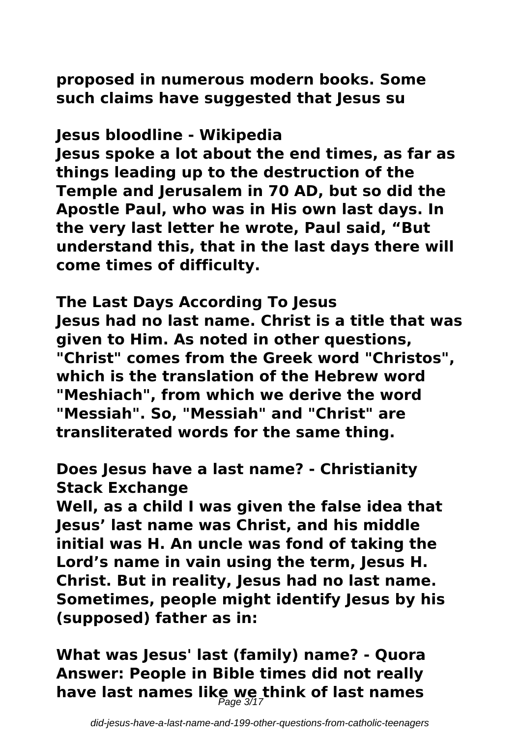**proposed in numerous modern books. Some such claims have suggested that Jesus su**

### **Jesus bloodline - Wikipedia**

**Jesus spoke a lot about the end times, as far as things leading up to the destruction of the Temple and Jerusalem in 70 AD, but so did the Apostle Paul, who was in His own last days. In the very last letter he wrote, Paul said, "But understand this, that in the last days there will come times of difficulty.**

**The Last Days According To Jesus Jesus had no last name. Christ is a title that was given to Him. As noted in other questions, "Christ" comes from the Greek word "Christos", which is the translation of the Hebrew word "Meshiach", from which we derive the word "Messiah". So, "Messiah" and "Christ" are transliterated words for the same thing.**

**Does Jesus have a last name? - Christianity Stack Exchange**

**Well, as a child I was given the false idea that Jesus' last name was Christ, and his middle initial was H. An uncle was fond of taking the Lord's name in vain using the term, Jesus H. Christ. But in reality, Jesus had no last name. Sometimes, people might identify Jesus by his (supposed) father as in:**

**What was Jesus' last (family) name? - Quora Answer: People in Bible times did not really have last names like we think of last names** Page 3/17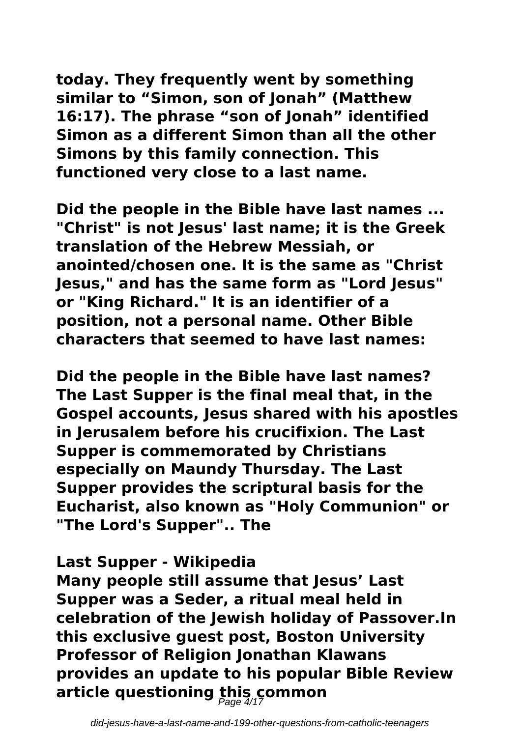**today. They frequently went by something similar to "Simon, son of Jonah" (Matthew 16:17). The phrase "son of Jonah" identified Simon as a different Simon than all the other Simons by this family connection. This functioned very close to a last name.**

**Did the people in the Bible have last names ... "Christ" is not Jesus' last name; it is the Greek translation of the Hebrew Messiah, or anointed/chosen one. It is the same as "Christ Jesus," and has the same form as "Lord Jesus" or "King Richard." It is an identifier of a position, not a personal name. Other Bible characters that seemed to have last names:**

**Did the people in the Bible have last names? The Last Supper is the final meal that, in the Gospel accounts, Jesus shared with his apostles in Jerusalem before his crucifixion. The Last Supper is commemorated by Christians especially on Maundy Thursday. The Last Supper provides the scriptural basis for the Eucharist, also known as "Holy Communion" or "The Lord's Supper".. The**

#### **Last Supper - Wikipedia**

**Many people still assume that Jesus' Last Supper was a Seder, a ritual meal held in celebration of the Jewish holiday of Passover.In this exclusive guest post, Boston University Professor of Religion Jonathan Klawans provides an update to his popular Bible Review article questioning this common** Page 4/17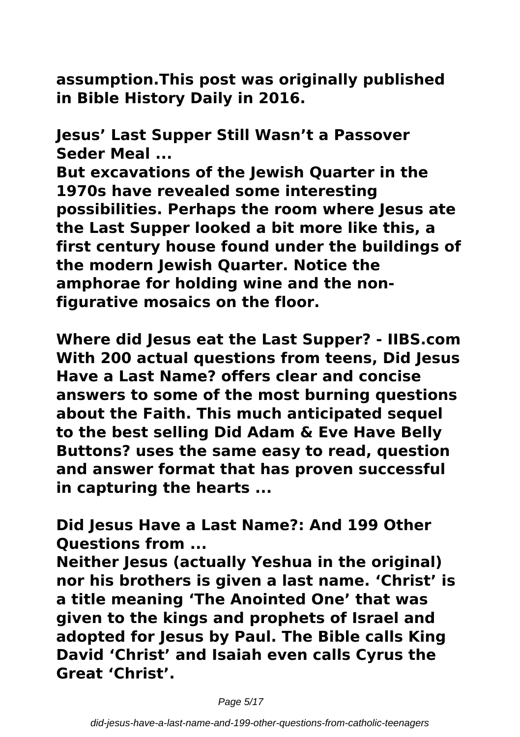**assumption.This post was originally published in Bible History Daily in 2016.**

**Jesus' Last Supper Still Wasn't a Passover Seder Meal ...**

**But excavations of the Jewish Quarter in the 1970s have revealed some interesting possibilities. Perhaps the room where Jesus ate the Last Supper looked a bit more like this, a first century house found under the buildings of the modern Jewish Quarter. Notice the amphorae for holding wine and the nonfigurative mosaics on the floor.**

**Where did Jesus eat the Last Supper? - IIBS.com With 200 actual questions from teens, Did Jesus Have a Last Name? offers clear and concise answers to some of the most burning questions about the Faith. This much anticipated sequel to the best selling Did Adam & Eve Have Belly Buttons? uses the same easy to read, question and answer format that has proven successful in capturing the hearts ...**

**Did Jesus Have a Last Name?: And 199 Other Questions from ...**

**Neither Jesus (actually Yeshua in the original) nor his brothers is given a last name. 'Christ' is a title meaning 'The Anointed One' that was given to the kings and prophets of Israel and adopted for Jesus by Paul. The Bible calls King David 'Christ' and Isaiah even calls Cyrus the Great 'Christ'.**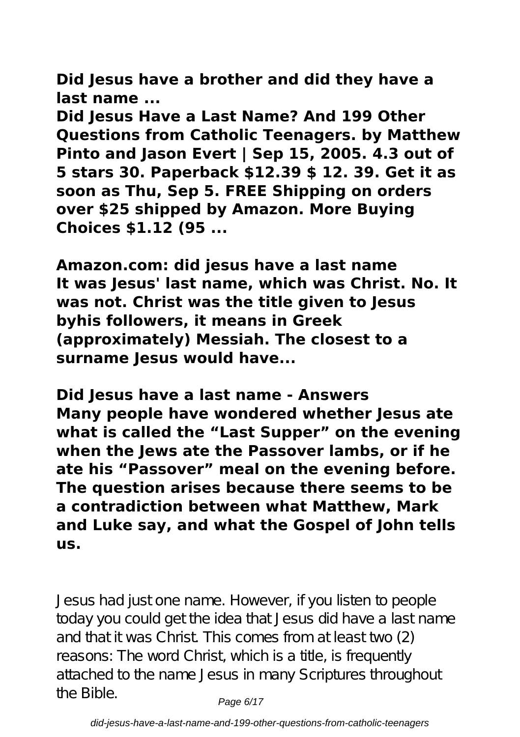**Did Jesus have a brother and did they have a last name ...**

**Did Jesus Have a Last Name? And 199 Other Questions from Catholic Teenagers. by Matthew Pinto and Jason Evert | Sep 15, 2005. 4.3 out of 5 stars 30. Paperback \$12.39 \$ 12. 39. Get it as soon as Thu, Sep 5. FREE Shipping on orders over \$25 shipped by Amazon. More Buying Choices \$1.12 (95 ...**

**Amazon.com: did jesus have a last name It was Jesus' last name, which was Christ. No. It was not. Christ was the title given to Jesus byhis followers, it means in Greek (approximately) Messiah. The closest to a surname Jesus would have...**

**Did Jesus have a last name - Answers Many people have wondered whether Jesus ate what is called the "Last Supper" on the evening when the Jews ate the Passover lambs, or if he ate his "Passover" meal on the evening before. The question arises because there seems to be a contradiction between what Matthew, Mark and Luke say, and what the Gospel of John tells us.**

Jesus had just one name. However, if you listen to people today you could get the idea that Jesus did have a last name and that it was Christ. This comes from at least two (2) reasons: The word Christ, which is a title, is frequently attached to the name Jesus in many Scriptures throughout the Bible.  $P_{\text{a}q\text{e}}6/17$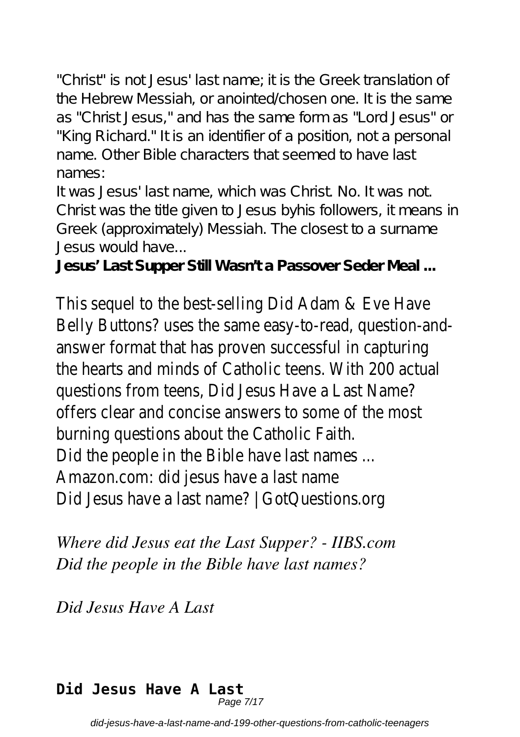"Christ" is not Jesus' last name; it is the Greek translation of the Hebrew Messiah, or anointed/chosen one. It is the same as "Christ Jesus," and has the same form as "Lord Jesus" or "King Richard." It is an identifier of a position, not a personal name. Other Bible characters that seemed to have last names:

It was Jesus' last name, which was Christ. No. It was not. Christ was the title given to Jesus byhis followers, it means in Greek (approximately) Messiah. The closest to a surname Jesus would have...

**Jesus' Last Supper Still Wasn't a Passover Seder Meal ...**

This sequel to the best-selling Did Adam & Eve Have Belly Buttons? uses the same easy-to-read, question-andanswer format that has proven successful in capturing the hearts and minds of Catholic teens. With 200 actual questions from teens, Did Jesus Have a Last Name? offers clear and concise answers to some of the most burning questions about the Catholic Faith. Did the people in the Bible have last names ... Amazon.com: did jesus have a last name Did Jesus have a last name? | GotQuestions.org

*Where did Jesus eat the Last Supper? - IIBS.com Did the people in the Bible have last names?*

*Did Jesus Have A Last*

# **Did Jesus Have A Last**

Page 7/17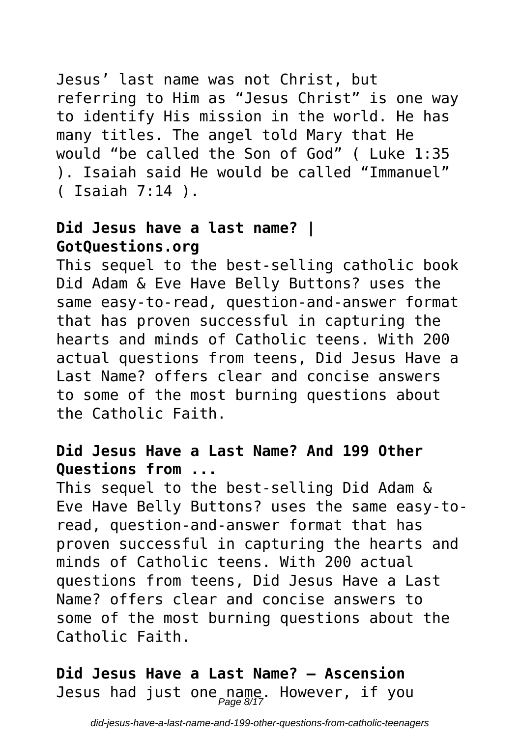Jesus' last name was not Christ, but referring to Him as "Jesus Christ" is one way to identify His mission in the world. He has many titles. The angel told Mary that He would "be called the Son of God" ( Luke 1:35 ). Isaiah said He would be called "Immanuel" ( Isaiah 7:14 ).

#### **Did Jesus have a last name? | GotQuestions.org**

This sequel to the best-selling catholic book Did Adam & Eve Have Belly Buttons? uses the same easy-to-read, question-and-answer format that has proven successful in capturing the hearts and minds of Catholic teens. With 200 actual questions from teens, Did Jesus Have a Last Name? offers clear and concise answers to some of the most burning questions about the Catholic Faith.

#### **Did Jesus Have a Last Name? And 199 Other Questions from ...**

This sequel to the best-selling Did Adam & Eve Have Belly Buttons? uses the same easy-toread, question-and-answer format that has proven successful in capturing the hearts and minds of Catholic teens. With 200 actual questions from teens, Did Jesus Have a Last Name? offers clear and concise answers to some of the most burning questions about the Catholic Faith.

**Did Jesus Have a Last Name? – Ascension** Jesus had just one name. However, if you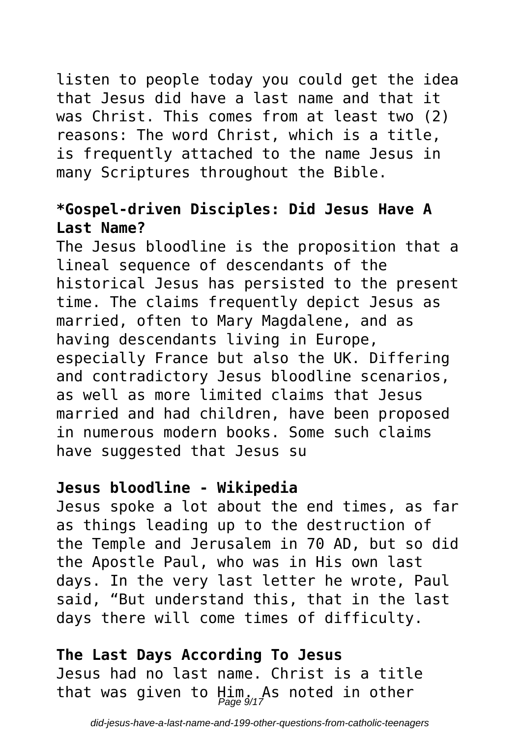### listen to people today you could get the idea that Jesus did have a last name and that it was Christ. This comes from at least two (2) reasons: The word Christ, which is a title, is frequently attached to the name Jesus in many Scriptures throughout the Bible.

#### **\*Gospel-driven Disciples: Did Jesus Have A Last Name?**

The Jesus bloodline is the proposition that a lineal sequence of descendants of the historical Jesus has persisted to the present time. The claims frequently depict Jesus as married, often to Mary Magdalene, and as having descendants living in Europe, especially France but also the UK. Differing and contradictory Jesus bloodline scenarios, as well as more limited claims that Jesus married and had children, have been proposed in numerous modern books. Some such claims have suggested that Jesus su

#### **Jesus bloodline - Wikipedia**

Jesus spoke a lot about the end times, as far as things leading up to the destruction of the Temple and Jerusalem in 70 AD, but so did the Apostle Paul, who was in His own last days. In the very last letter he wrote, Paul said, "But understand this, that in the last days there will come times of difficulty.

**The Last Days According To Jesus** Jesus had no last name. Christ is a title that was given to Him. As noted in other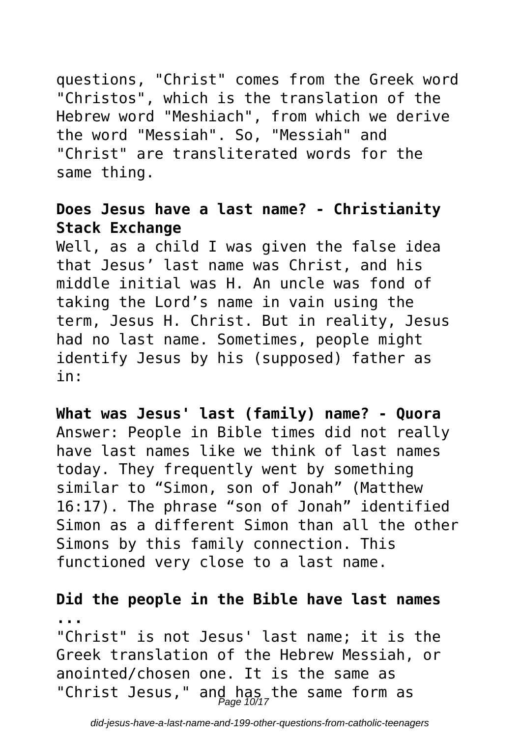questions, "Christ" comes from the Greek word "Christos", which is the translation of the Hebrew word "Meshiach", from which we derive the word "Messiah". So, "Messiah" and "Christ" are transliterated words for the same thing.

#### **Does Jesus have a last name? - Christianity Stack Exchange**

Well, as a child I was given the false idea that Jesus' last name was Christ, and his middle initial was H. An uncle was fond of taking the Lord's name in vain using the term, Jesus H. Christ. But in reality, Jesus had no last name. Sometimes, people might identify Jesus by his (supposed) father as in:

**What was Jesus' last (family) name? - Quora** Answer: People in Bible times did not really have last names like we think of last names today. They frequently went by something similar to "Simon, son of Jonah" (Matthew 16:17). The phrase "son of Jonah" identified Simon as a different Simon than all the other Simons by this family connection. This functioned very close to a last name.

#### **Did the people in the Bible have last names ...** "Christ" is not Jesus' last name; it is the

Greek translation of the Hebrew Messiah, or anointed/chosen one. It is the same as "Christ Jesus," and has the same form as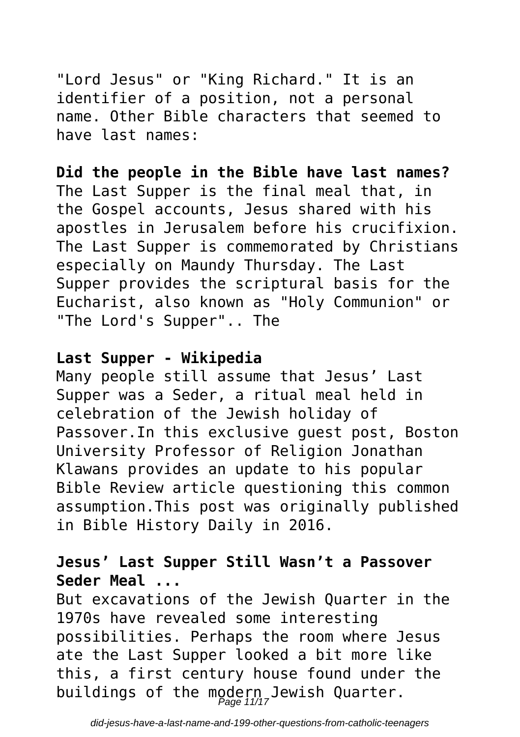"Lord Jesus" or "King Richard." It is an identifier of a position, not a personal name. Other Bible characters that seemed to have last names:

**Did the people in the Bible have last names?** The Last Supper is the final meal that, in the Gospel accounts, Jesus shared with his apostles in Jerusalem before his crucifixion. The Last Supper is commemorated by Christians especially on Maundy Thursday. The Last Supper provides the scriptural basis for the Eucharist, also known as "Holy Communion" or "The Lord's Supper".. The

#### **Last Supper - Wikipedia**

Many people still assume that Jesus' Last Supper was a Seder, a ritual meal held in celebration of the Jewish holiday of Passover.In this exclusive guest post, Boston University Professor of Religion Jonathan Klawans provides an update to his popular Bible Review article questioning this common assumption.This post was originally published in Bible History Daily in 2016.

#### **Jesus' Last Supper Still Wasn't a Passover Seder Meal ...**

But excavations of the Jewish Quarter in the 1970s have revealed some interesting possibilities. Perhaps the room where Jesus ate the Last Supper looked a bit more like this, a first century house found under the buildings of the modern,Jewish Quarter.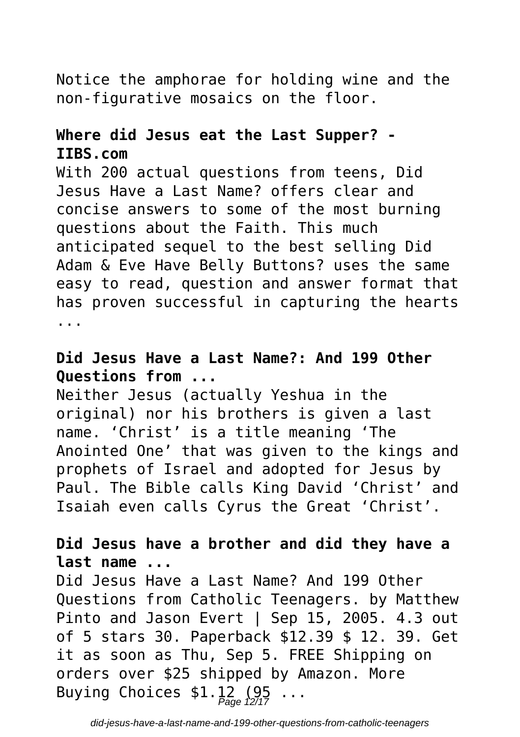### Notice the amphorae for holding wine and the non-figurative mosaics on the floor.

#### **Where did Jesus eat the Last Supper? - IIBS.com**

With 200 actual questions from teens, Did Jesus Have a Last Name? offers clear and concise answers to some of the most burning questions about the Faith. This much anticipated sequel to the best selling Did Adam & Eve Have Belly Buttons? uses the same easy to read, question and answer format that has proven successful in capturing the hearts ...

#### **Did Jesus Have a Last Name?: And 199 Other Questions from ...**

Neither Jesus (actually Yeshua in the original) nor his brothers is given a last name. 'Christ' is a title meaning 'The Anointed One' that was given to the kings and prophets of Israel and adopted for Jesus by Paul. The Bible calls King David 'Christ' and Isaiah even calls Cyrus the Great 'Christ'.

#### **Did Jesus have a brother and did they have a last name ...**

Did Jesus Have a Last Name? And 199 Other Questions from Catholic Teenagers. by Matthew Pinto and Jason Evert | Sep 15, 2005, 4.3 out of 5 stars 30. Paperback \$12.39 \$ 12. 39. Get it as soon as Thu, Sep 5. FREE Shipping on orders over \$25 shipped by Amazon. More Buying Choices  $$1.\, 12_{\sf page} \, (95 \ldots]$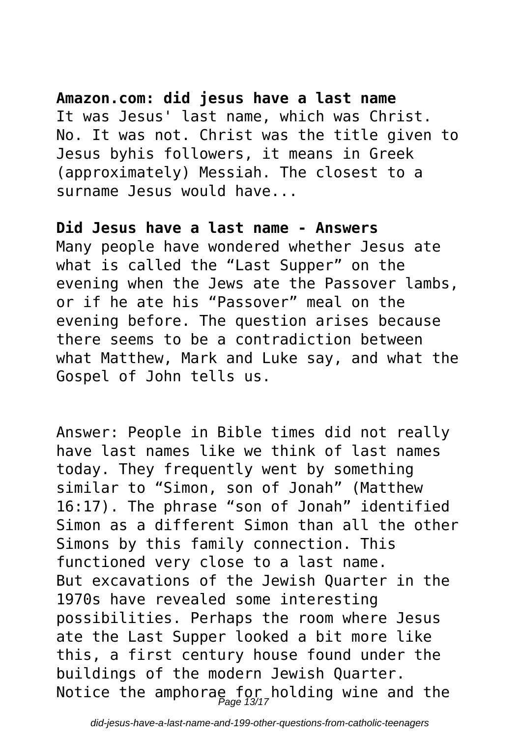#### **Amazon.com: did jesus have a last name**

It was Jesus' last name, which was Christ. No. It was not. Christ was the title given to Jesus byhis followers, it means in Greek (approximately) Messiah. The closest to a surname Jesus would have...

#### **Did Jesus have a last name - Answers**

Many people have wondered whether Jesus ate what is called the "Last Supper" on the evening when the Jews ate the Passover lambs, or if he ate his "Passover" meal on the evening before. The question arises because there seems to be a contradiction between what Matthew, Mark and Luke say, and what the Gospel of John tells us.

Answer: People in Bible times did not really have last names like we think of last names today. They frequently went by something similar to "Simon, son of Jonah" (Matthew 16:17). The phrase "son of Jonah" identified Simon as a different Simon than all the other Simons by this family connection. This functioned very close to a last name. But excavations of the Jewish Quarter in the 1970s have revealed some interesting possibilities. Perhaps the room where Jesus ate the Last Supper looked a bit more like this, a first century house found under the buildings of the modern Jewish Quarter. Notice the amphora $\frac{\epsilon}{P_{age}}$  for holding wine and the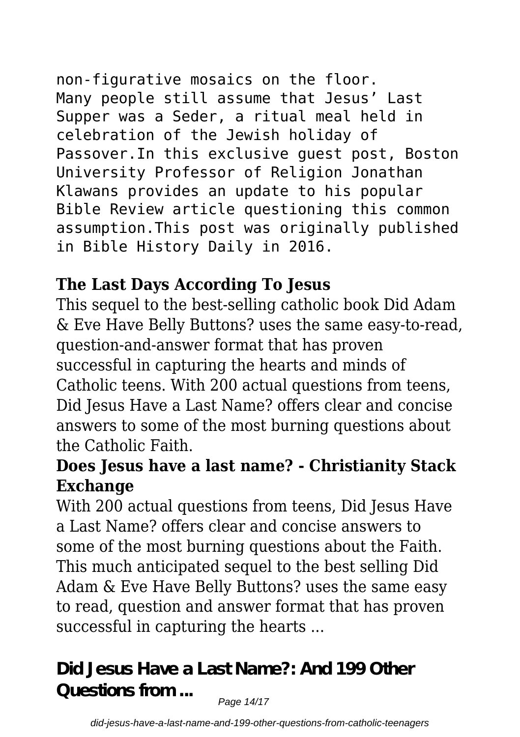non-figurative mosaics on the floor. Many people still assume that Jesus' Last Supper was a Seder, a ritual meal held in celebration of the Jewish holiday of Passover.In this exclusive guest post, Boston University Professor of Religion Jonathan

Klawans provides an update to his popular Bible Review article questioning this common assumption.This post was originally published in Bible History Daily in 2016.

# **The Last Days According To Jesus**

This sequel to the best-selling catholic book Did Adam & Eve Have Belly Buttons? uses the same easy-to-read, question-and-answer format that has proven successful in capturing the hearts and minds of Catholic teens. With 200 actual questions from teens, Did Jesus Have a Last Name? offers clear and concise answers to some of the most burning questions about the Catholic Faith.

## **Does Jesus have a last name? - Christianity Stack Exchange**

With 200 actual questions from teens, Did Jesus Have a Last Name? offers clear and concise answers to some of the most burning questions about the Faith. This much anticipated sequel to the best selling Did Adam & Eve Have Belly Buttons? uses the same easy to read, question and answer format that has proven successful in capturing the hearts ...

**Did Jesus Have a Last Name?: And 199 Other Questions from ...**

Page 14/17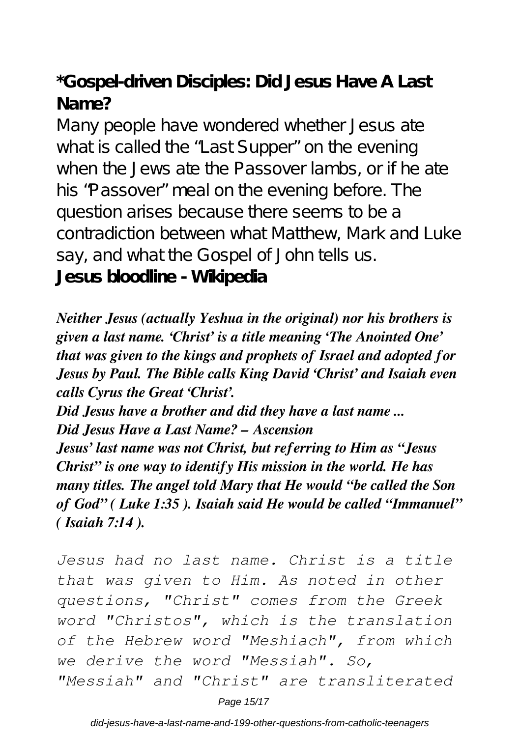**\*Gospel-driven Disciples: Did Jesus Have A Last Name?**

Many people have wondered whether Jesus ate what is called the "Last Supper" on the evening when the Jews ate the Passover lambs, or if he ate his "Passover" meal on the evening before. The question arises because there seems to be a contradiction between what Matthew, Mark and Luke say, and what the Gospel of John tells us. **Jesus bloodline - Wikipedia**

*Neither Jesus (actually Yeshua in the original) nor his brothers is given a last name. 'Christ' is a title meaning 'The Anointed One' that was given to the kings and prophets of Israel and adopted for Jesus by Paul. The Bible calls King David 'Christ' and Isaiah even calls Cyrus the Great 'Christ'.*

*Did Jesus have a brother and did they have a last name ... Did Jesus Have a Last Name? – Ascension*

*Jesus' last name was not Christ, but referring to Him as "Jesus Christ" is one way to identify His mission in the world. He has many titles. The angel told Mary that He would "be called the Son of God" ( Luke 1:35 ). Isaiah said He would be called "Immanuel" ( Isaiah 7:14 ).*

*Jesus had no last name. Christ is a title that was given to Him. As noted in other questions, "Christ" comes from the Greek word "Christos", which is the translation of the Hebrew word "Meshiach", from which we derive the word "Messiah". So, "Messiah" and "Christ" are transliterated*

Page 15/17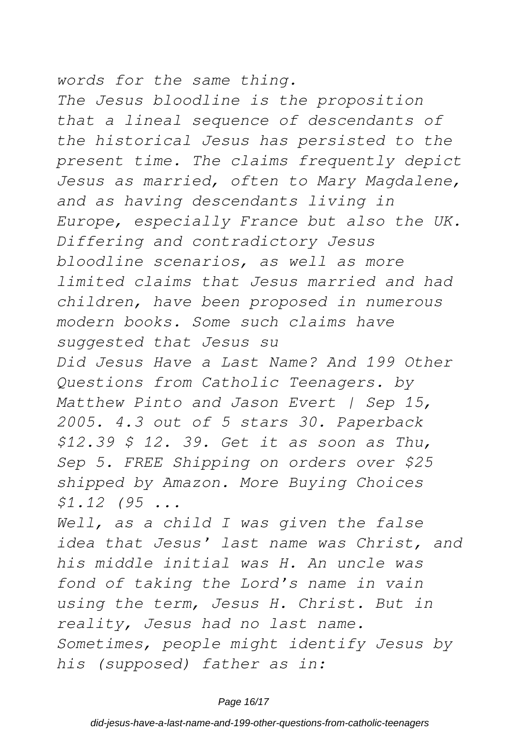*words for the same thing. The Jesus bloodline is the proposition that a lineal sequence of descendants of the historical Jesus has persisted to the present time. The claims frequently depict Jesus as married, often to Mary Magdalene, and as having descendants living in Europe, especially France but also the UK. Differing and contradictory Jesus bloodline scenarios, as well as more limited claims that Jesus married and had children, have been proposed in numerous modern books. Some such claims have suggested that Jesus su Did Jesus Have a Last Name? And 199 Other Questions from Catholic Teenagers. by Matthew Pinto and Jason Evert | Sep 15, 2005. 4.3 out of 5 stars 30. Paperback \$12.39 \$ 12. 39. Get it as soon as Thu, Sep 5. FREE Shipping on orders over \$25 shipped by Amazon. More Buying Choices \$1.12 (95 ... Well, as a child I was given the false*

*idea that Jesus' last name was Christ, and his middle initial was H. An uncle was fond of taking the Lord's name in vain using the term, Jesus H. Christ. But in reality, Jesus had no last name. Sometimes, people might identify Jesus by his (supposed) father as in:*